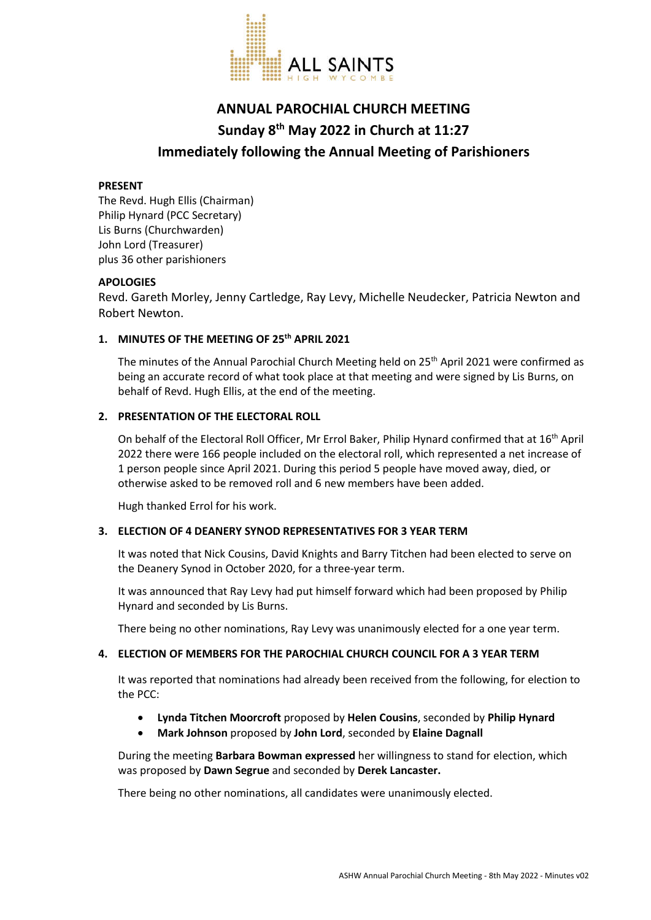

# **ANNUAL PAROCHIAL CHURCH MEETING Sunday 8th May 2022 in Church at 11:27 Immediately following the Annual Meeting of Parishioners**

#### **PRESENT**

The Revd. Hugh Ellis (Chairman) Philip Hynard (PCC Secretary) Lis Burns (Churchwarden) John Lord (Treasurer) plus 36 other parishioners

## **APOLOGIES**

Revd. Gareth Morley, Jenny Cartledge, Ray Levy, Michelle Neudecker, Patricia Newton and Robert Newton.

## **1. MINUTES OF THE MEETING OF 25th APRIL 2021**

The minutes of the Annual Parochial Church Meeting held on 25<sup>th</sup> April 2021 were confirmed as being an accurate record of what took place at that meeting and were signed by Lis Burns, on behalf of Revd. Hugh Ellis, at the end of the meeting.

## **2. PRESENTATION OF THE ELECTORAL ROLL**

On behalf of the Electoral Roll Officer, Mr Errol Baker, Philip Hynard confirmed that at 16th April 2022 there were 166 people included on the electoral roll, which represented a net increase of 1 person people since April 2021. During this period 5 people have moved away, died, or otherwise asked to be removed roll and 6 new members have been added.

Hugh thanked Errol for his work.

## **3. ELECTION OF 4 DEANERY SYNOD REPRESENTATIVES FOR 3 YEAR TERM**

It was noted that Nick Cousins, David Knights and Barry Titchen had been elected to serve on the Deanery Synod in October 2020, for a three-year term.

It was announced that Ray Levy had put himself forward which had been proposed by Philip Hynard and seconded by Lis Burns.

There being no other nominations, Ray Levy was unanimously elected for a one year term.

## **4. ELECTION OF MEMBERS FOR THE PAROCHIAL CHURCH COUNCIL FOR A 3 YEAR TERM**

It was reported that nominations had already been received from the following, for election to the PCC:

- **Lynda Titchen Moorcroft** proposed by **Helen Cousins**, seconded by **Philip Hynard**
- **Mark Johnson** proposed by **John Lord**, seconded by **Elaine Dagnall**

During the meeting **Barbara Bowman expressed** her willingness to stand for election, which was proposed by **Dawn Segrue** and seconded by **Derek Lancaster.**

There being no other nominations, all candidates were unanimously elected.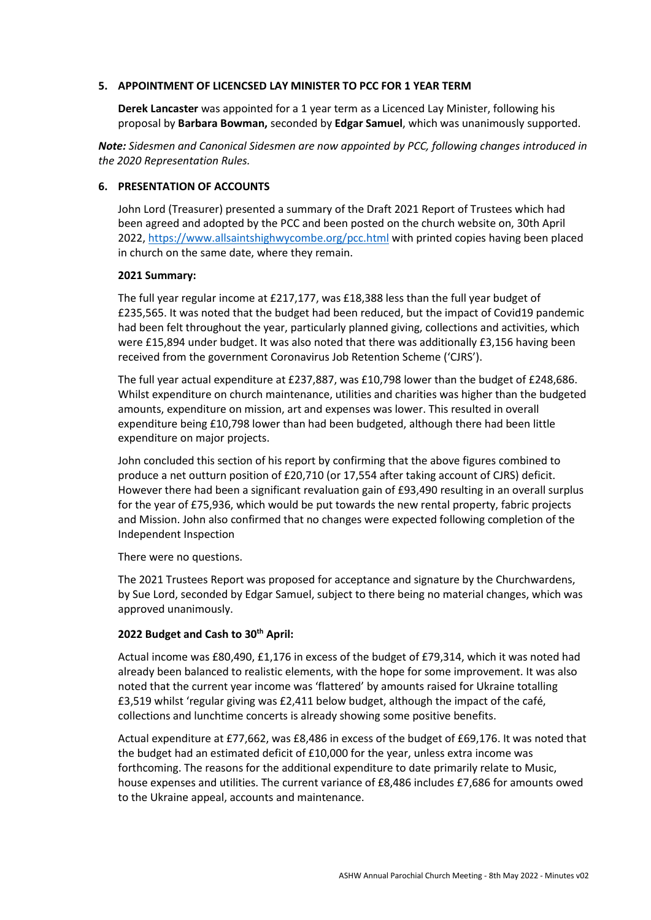#### **5. APPOINTMENT OF LICENCSED LAY MINISTER TO PCC FOR 1 YEAR TERM**

**Derek Lancaster** was appointed for a 1 year term as a Licenced Lay Minister, following his proposal by **Barbara Bowman,** seconded by **Edgar Samuel**, which was unanimously supported.

*Note: Sidesmen and Canonical Sidesmen are now appointed by PCC, following changes introduced in the 2020 Representation Rules.*

#### **6. PRESENTATION OF ACCOUNTS**

John Lord (Treasurer) presented a summary of the Draft 2021 Report of Trustees which had been agreed and adopted by the PCC and been posted on the church website on, 30th April 2022, https://www.allsaintshighwycombe.org/pcc.html with printed copies having been placed in church on the same date, where they remain.

#### **2021 Summary:**

The full year regular income at £217,177, was £18,388 less than the full year budget of £235,565. It was noted that the budget had been reduced, but the impact of Covid19 pandemic had been felt throughout the year, particularly planned giving, collections and activities, which were £15,894 under budget. It was also noted that there was additionally £3,156 having been received from the government Coronavirus Job Retention Scheme ('CJRS').

The full year actual expenditure at £237,887, was £10,798 lower than the budget of £248,686. Whilst expenditure on church maintenance, utilities and charities was higher than the budgeted amounts, expenditure on mission, art and expenses was lower. This resulted in overall expenditure being £10,798 lower than had been budgeted, although there had been little expenditure on major projects.

John concluded this section of his report by confirming that the above figures combined to produce a net outturn position of £20,710 (or 17,554 after taking account of CJRS) deficit. However there had been a significant revaluation gain of £93,490 resulting in an overall surplus for the year of £75,936, which would be put towards the new rental property, fabric projects and Mission. John also confirmed that no changes were expected following completion of the Independent Inspection

There were no questions.

The 2021 Trustees Report was proposed for acceptance and signature by the Churchwardens, by Sue Lord, seconded by Edgar Samuel, subject to there being no material changes, which was approved unanimously.

## **2022 Budget and Cash to 30th April:**

Actual income was £80,490, £1,176 in excess of the budget of £79,314, which it was noted had already been balanced to realistic elements, with the hope for some improvement. It was also noted that the current year income was 'flattered' by amounts raised for Ukraine totalling £3,519 whilst 'regular giving was £2,411 below budget, although the impact of the café, collections and lunchtime concerts is already showing some positive benefits.

Actual expenditure at £77,662, was £8,486 in excess of the budget of £69,176. It was noted that the budget had an estimated deficit of £10,000 for the year, unless extra income was forthcoming. The reasons for the additional expenditure to date primarily relate to Music, house expenses and utilities. The current variance of £8,486 includes £7,686 for amounts owed to the Ukraine appeal, accounts and maintenance.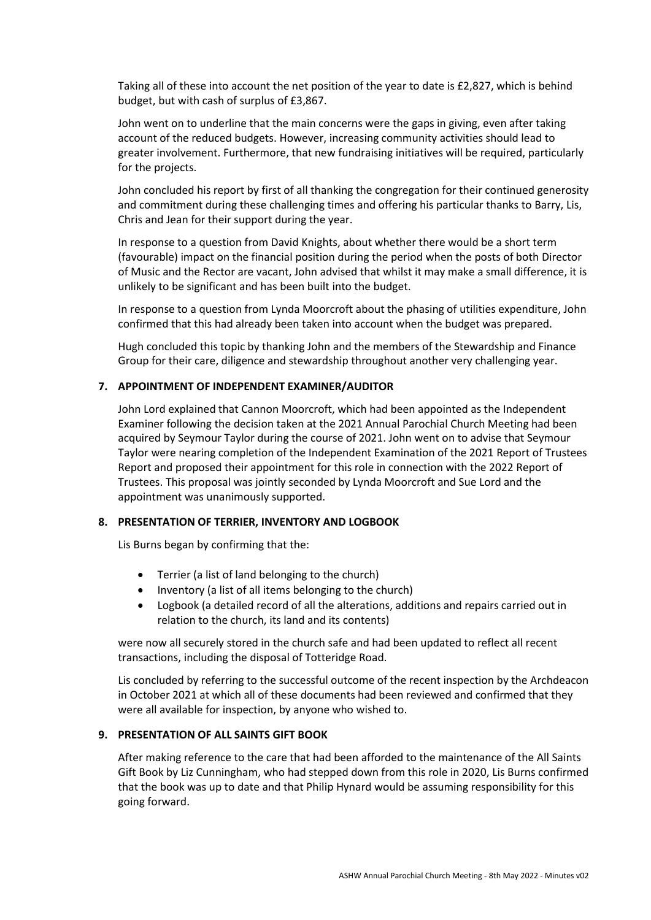Taking all of these into account the net position of the year to date is £2,827, which is behind budget, but with cash of surplus of £3,867.

John went on to underline that the main concerns were the gaps in giving, even after taking account of the reduced budgets. However, increasing community activities should lead to greater involvement. Furthermore, that new fundraising initiatives will be required, particularly for the projects.

John concluded his report by first of all thanking the congregation for their continued generosity and commitment during these challenging times and offering his particular thanks to Barry, Lis, Chris and Jean for their support during the year.

In response to a question from David Knights, about whether there would be a short term (favourable) impact on the financial position during the period when the posts of both Director of Music and the Rector are vacant, John advised that whilst it may make a small difference, it is unlikely to be significant and has been built into the budget.

In response to a question from Lynda Moorcroft about the phasing of utilities expenditure, John confirmed that this had already been taken into account when the budget was prepared.

Hugh concluded this topic by thanking John and the members of the Stewardship and Finance Group for their care, diligence and stewardship throughout another very challenging year.

## **7. APPOINTMENT OF INDEPENDENT EXAMINER/AUDITOR**

John Lord explained that Cannon Moorcroft, which had been appointed as the Independent Examiner following the decision taken at the 2021 Annual Parochial Church Meeting had been acquired by Seymour Taylor during the course of 2021. John went on to advise that Seymour Taylor were nearing completion of the Independent Examination of the 2021 Report of Trustees Report and proposed their appointment for this role in connection with the 2022 Report of Trustees. This proposal was jointly seconded by Lynda Moorcroft and Sue Lord and the appointment was unanimously supported.

## **8. PRESENTATION OF TERRIER, INVENTORY AND LOGBOOK**

Lis Burns began by confirming that the:

- Terrier (a list of land belonging to the church)
- Inventory (a list of all items belonging to the church)
- Logbook (a detailed record of all the alterations, additions and repairs carried out in relation to the church, its land and its contents)

were now all securely stored in the church safe and had been updated to reflect all recent transactions, including the disposal of Totteridge Road.

Lis concluded by referring to the successful outcome of the recent inspection by the Archdeacon in October 2021 at which all of these documents had been reviewed and confirmed that they were all available for inspection, by anyone who wished to.

## **9. PRESENTATION OF ALL SAINTS GIFT BOOK**

After making reference to the care that had been afforded to the maintenance of the All Saints Gift Book by Liz Cunningham, who had stepped down from this role in 2020, Lis Burns confirmed that the book was up to date and that Philip Hynard would be assuming responsibility for this going forward.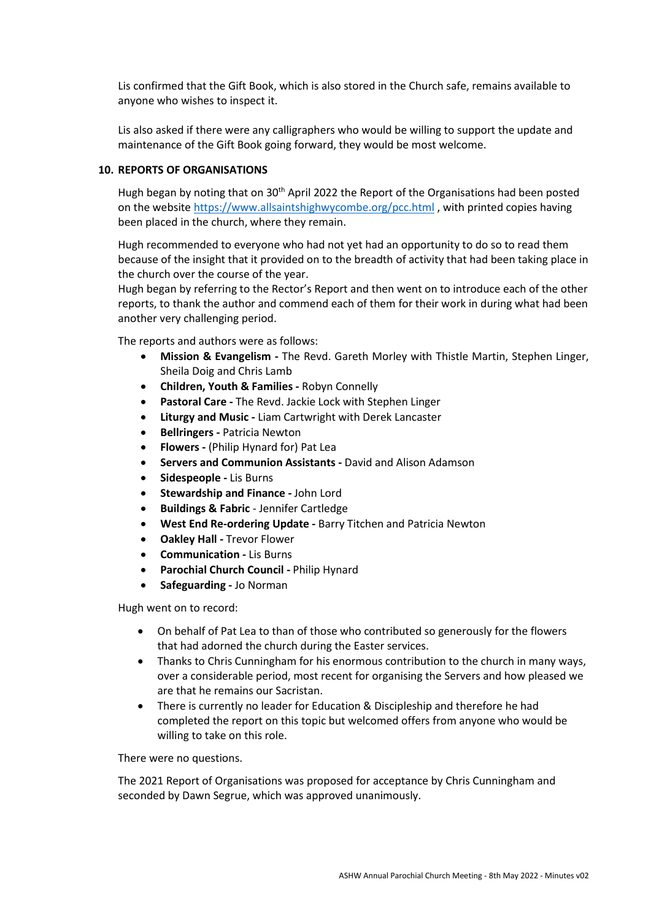Lis confirmed that the Gift Book, which is also stored in the Church safe, remains available to anyone who wishes to inspect it.

Lis also asked if there were any calligraphers who would be willing to support the update and maintenance of the Gift Book going forward, they would be most welcome.

#### **10. REPORTS OF ORGANISATIONS**

Hugh began by noting that on 30th April 2022 the Report of the Organisations had been posted on the website https://www.allsaintshighwycombe.org/pcc.html , with printed copies having been placed in the church, where they remain.

Hugh recommended to everyone who had not yet had an opportunity to do so to read them because of the insight that it provided on to the breadth of activity that had been taking place in the church over the course of the year.

Hugh began by referring to the Rector's Report and then went on to introduce each of the other reports, to thank the author and commend each of them for their work in during what had been another very challenging period.

The reports and authors were as follows:

- **Mission & Evangelism -** The Revd. Gareth Morley with Thistle Martin, Stephen Linger, Sheila Doig and Chris Lamb
- **Children, Youth & Families -** Robyn Connelly
- **Pastoral Care -** The Revd. Jackie Lock with Stephen Linger
- **Liturgy and Music -** Liam Cartwright with Derek Lancaster
- **Bellringers -** Patricia Newton
- **Flowers -** (Philip Hynard for) Pat Lea
- **Servers and Communion Assistants -** David and Alison Adamson
- **Sidespeople -** Lis Burns
- **Stewardship and Finance -** John Lord
- **Buildings & Fabric** Jennifer Cartledge
- **West End Re-ordering Update -** Barry Titchen and Patricia Newton
- **Oakley Hall -** Trevor Flower
- **Communication -** Lis Burns
- **Parochial Church Council -** Philip Hynard
- **Safeguarding -** Jo Norman

Hugh went on to record:

- On behalf of Pat Lea to than of those who contributed so generously for the flowers that had adorned the church during the Easter services.
- Thanks to Chris Cunningham for his enormous contribution to the church in many ways, over a considerable period, most recent for organising the Servers and how pleased we are that he remains our Sacristan.
- There is currently no leader for Education & Discipleship and therefore he had completed the report on this topic but welcomed offers from anyone who would be willing to take on this role.

There were no questions.

The 2021 Report of Organisations was proposed for acceptance by Chris Cunningham and seconded by Dawn Segrue, which was approved unanimously.